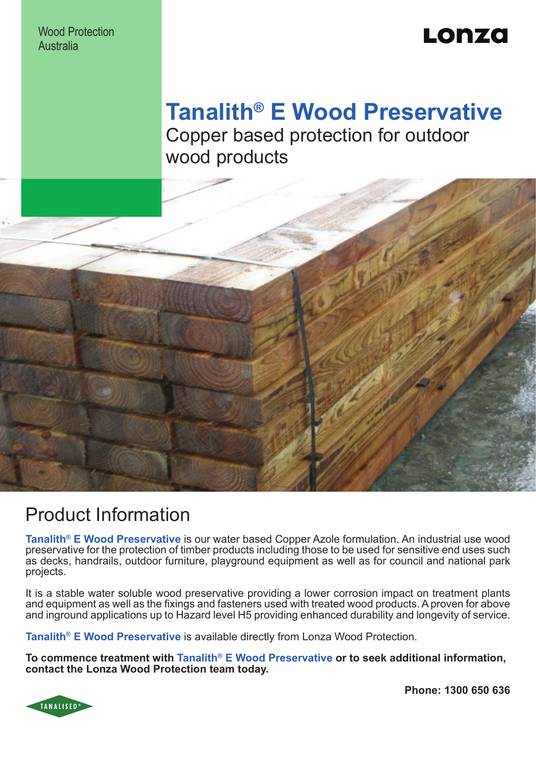Wood Protection **Australia** 

# Lonzo

## **Tanalith® E Wood Preservative** Copper based protection for outdoor wood products



### Product Information

**Tanalith® E Wood Preservative** is our water based Copper Azole formulation. An industrial use wood preservative for the protection of timber products including those to be used for sensitive end uses such as decks, handrails, outdoor furniture, playground equipment as well as for council and national park projects.

It is a stable water soluble wood preservative providing a lower corrosion impact on treatment plants and equipment as well as the fixings and fasteners used with treated wood products. A proven for above and inground applications up to Hazard level H5 providing enhanced durability and longevity of service.

**Tanalith<sup>®</sup> E Wood Preservative** is available directly from Lonza Wood Protection.

**To commence treatment with Tanalith® E Wood Preservative or to seek additional information, contact the Lonza Wood Protection team today.** 



**Phone: 1300 650 636**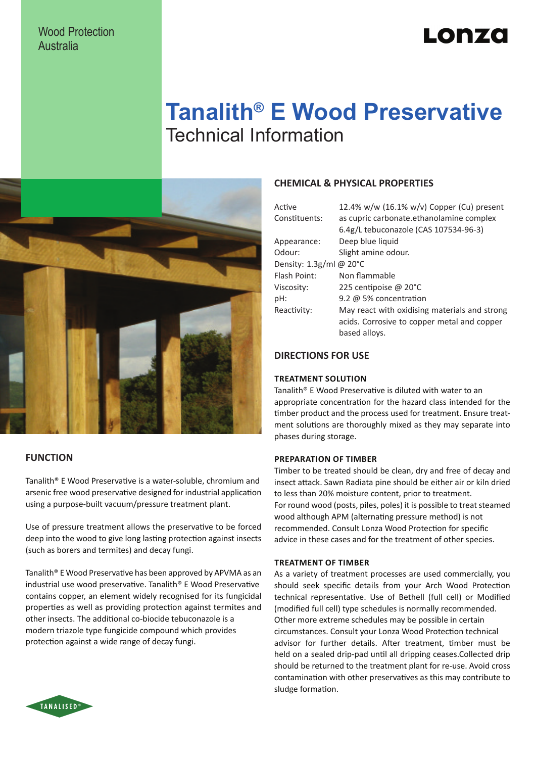### Wood Protection Australia

# Lonzo

## **Tanalith® E Wood Preservative** Technical Information



### **FUNCTION**

Tanalith® E Wood Preservative is a water-soluble, chromium and arsenic free wood preservative designed for industrial application using a purpose-built vacuum/pressure treatment plant.

Use of pressure treatment allows the preservative to be forced deep into the wood to give long lasting protection against insects (such as borers and termites) and decay fungi.

Tanalith® E Wood Preservative has been approved by APVMA as an industrial use wood preservative. Tanalith® E Wood Preservative contains copper, an element widely recognised for its fungicidal properties as well as providing protection against termites and other insects. The additional co-biocide tebuconazole is a modern triazole type fungicide compound which provides protection against a wide range of decay fungi.

### **CHEMICAL & PHYSICAL PROPERTIES**

| Active                  | 12.4% w/w (16.1% w/v) Copper (Cu) present     |  |  |  |  |
|-------------------------|-----------------------------------------------|--|--|--|--|
| Constituents:           | as cupric carbonate.ethanolamine complex      |  |  |  |  |
|                         | 6.4g/L tebuconazole (CAS 107534-96-3)         |  |  |  |  |
| Appearance:             | Deep blue liquid                              |  |  |  |  |
| Odour:                  | Slight amine odour.                           |  |  |  |  |
| Density: 1.3g/ml @ 20°C |                                               |  |  |  |  |
| Flash Point:            | Non flammable                                 |  |  |  |  |
| Viscosity:              | 225 centipoise @ 20°C                         |  |  |  |  |
| pH:                     | 9.2 $\omega$ 5% concentration                 |  |  |  |  |
| Reactivity:             | May react with oxidising materials and strong |  |  |  |  |
|                         | acids. Corrosive to copper metal and copper   |  |  |  |  |
|                         | based alloys.                                 |  |  |  |  |
|                         |                                               |  |  |  |  |

### **DIRECTIONS FOR USE**

#### **Treatment Solution**

Tanalith® E Wood Preservative is diluted with water to an appropriate concentration for the hazard class intended for the timber product and the process used for treatment. Ensure treatment solutions are thoroughly mixed as they may separate into phases during storage.

### **Preparation of Timber**

Timber to be treated should be clean, dry and free of decay and insect attack. Sawn Radiata pine should be either air or kiln dried to less than 20% moisture content, prior to treatment. For round wood (posts, piles, poles) it is possible to treat steamed wood although APM (alternating pressure method) is not recommended. Consult Lonza Wood Protection for specific advice in these cases and for the treatment of other species.

#### **Treatment of Timber**

As a variety of treatment processes are used commercially, you should seek specific details from your Arch Wood Protection technical representative. Use of Bethell (full cell) or Modified (modified full cell) type schedules is normally recommended. Other more extreme schedules may be possible in certain circumstances. Consult your Lonza Wood Protection technical advisor for further details. After treatment, timber must be held on a sealed drip-pad until all dripping ceases.Collected drip should be returned to the treatment plant for re-use. Avoid cross contamination with other preservatives as this may contribute to sludge formation.

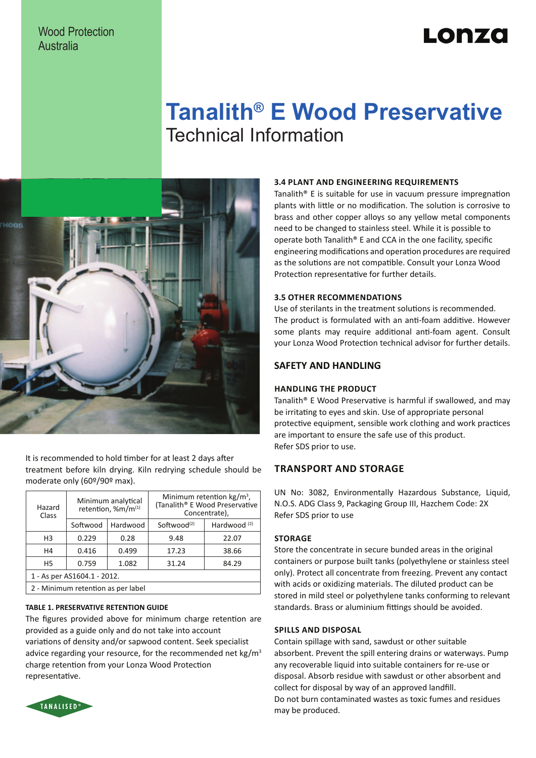### Wood Protection Australia

# Lonzo

## **Tanalith® E Wood Preservative** Technical Information



It is recommended to hold timber for at least 2 days after treatment before kiln drying. Kiln redrying schedule should be moderate only (60º/90º max).

| Hazard<br>Class                    | Minimum analytical<br>retention, %m/m(1) |          | Minimum retention $kg/m^3$ ,<br>(Tanalith® E Wood Preservative<br>Concentrate), |                |  |
|------------------------------------|------------------------------------------|----------|---------------------------------------------------------------------------------|----------------|--|
|                                    | Softwood                                 | Hardwood | Softwood <sup>(2)</sup>                                                         | Hardwood $(2)$ |  |
| H <sub>3</sub>                     | 0.229                                    | 0.28     | 9.48                                                                            | 22.07          |  |
| H4                                 | 0.416                                    | 0.499    | 17.23                                                                           | 38.66          |  |
| H <sub>5</sub>                     | 0.759                                    | 1.082    | 31.24                                                                           | 84.29          |  |
| 1 - As per AS1604.1 - 2012.        |                                          |          |                                                                                 |                |  |
| 2 - Minimum retention as per label |                                          |          |                                                                                 |                |  |

### **TABLE 1. PRESERVATIVE RETENTION GUIDE**

The figures provided above for minimum charge retention are provided as a guide only and do not take into account variations of density and/or sapwood content. Seek specialist advice regarding your resource, for the recommended net  $kg/m<sup>3</sup>$ charge retention from your Lonza Wood Protection representative.

### **3.4 Plant and Engineering Requirements**

Tanalith® E is suitable for use in vacuum pressure impregnation plants with little or no modification. The solution is corrosive to brass and other copper alloys so any yellow metal components need to be changed to stainless steel. While it is possible to operate both Tanalith® E and CCA in the one facility, specific engineering modifications and operation procedures are required as the solutions are not compatible. Consult your Lonza Wood Protection representative for further details.

#### **3.5 Other Recommendations**

Use of sterilants in the treatment solutions is recommended. The product is formulated with an anti-foam additive. However some plants may require additional anti-foam agent. Consult your Lonza Wood Protection technical advisor for further details.

### **SAFETY AND HANDLING**

#### **Handling the product**

Tanalith® E Wood Preservative is harmful if swallowed, and may be irritating to eyes and skin. Use of appropriate personal protective equipment, sensible work clothing and work practices are important to ensure the safe use of this product. Refer SDS prior to use.

### **Transport and storage**

UN No: 3082, Environmentally Hazardous Substance, Liquid, N.O.S. ADG Class 9, Packaging Group III, Hazchem Code: 2X Refer SDS prior to use

### **Storage**

Store the concentrate in secure bunded areas in the original containers or purpose built tanks (polyethylene or stainless steel only). Protect all concentrate from freezing. Prevent any contact with acids or oxidizing materials. The diluted product can be stored in mild steel or polyethylene tanks conforming to relevant standards. Brass or aluminium fittings should be avoided.

### **Spills and Disposal**

Contain spillage with sand, sawdust or other suitable absorbent. Prevent the spill entering drains or waterways. Pump any recoverable liquid into suitable containers for re-use or disposal. Absorb residue with sawdust or other absorbent and collect for disposal by way of an approved landfill. Do not burn contaminated wastes as toxic fumes and residues may be produced.